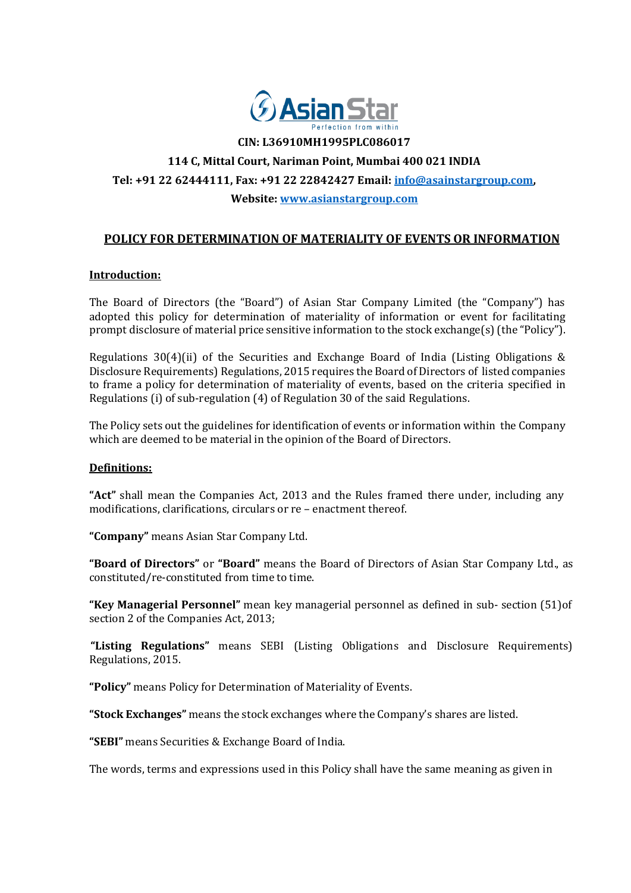

**CIN: L36910MH1995PLC086017**

# **114 C, Mittal Court, Nariman Point, Mumbai 400 021 INDIA**

## **Tel: +91 22 62444111, Fax: +91 22 22842427 Email: [info@asainstargroup.com,](mailto:info@asainstargroup.com)**

**Website: [www.asianstargroup.com](http://www.asianstargroup.com/)**

# **POLICY FOR DETERMINATION OF MATERIALITY OF EVENTS OR INFORMATION**

## **Introduction:**

The Board of Directors (the "Board") of Asian Star Company Limited (the "Company") has adopted this policy for determination of materiality of information or event for facilitating prompt disclosure of material price sensitive information to the stock exchange(s) (the "Policy").

Regulations 30(4)(ii) of the Securities and Exchange Board of India (Listing Obligations & Disclosure Requirements) Regulations, 2015 requires the Board of Directors of listed companies to frame a policy for determination of materiality of events, based on the criteria specified in Regulations (i) of sub‐regulation (4) of Regulation 30 of the said Regulations.

The Policy sets out the guidelines for identification of events or information within the Company which are deemed to be material in the opinion of the Board of Directors.

#### **Definitions:**

**"Act"** shall mean the Companies Act, 2013 and the Rules framed there under, including any modifications, clarifications, circulars or re – enactment thereof.

**"Company"** means Asian Star Company Ltd.

**"Board of Directors"** or **"Board"** means the Board of Directors of Asian Star Company Ltd., as constituted/re‐constituted from time to time.

**"Key Managerial Personnel"** mean key managerial personnel as defined in sub‐ section (51)of section 2 of the Companies Act, 2013;

**"Listing Regulations"** means SEBI (Listing Obligations and Disclosure Requirements) Regulations, 2015.

**"Policy"** means Policy for Determination of Materiality of Events.

**"Stock Exchanges"** means the stock exchanges where the Company's shares are listed.

**"SEBI"** means Securities & Exchange Board of India.

The words, terms and expressions used in this Policy shall have the same meaning as given in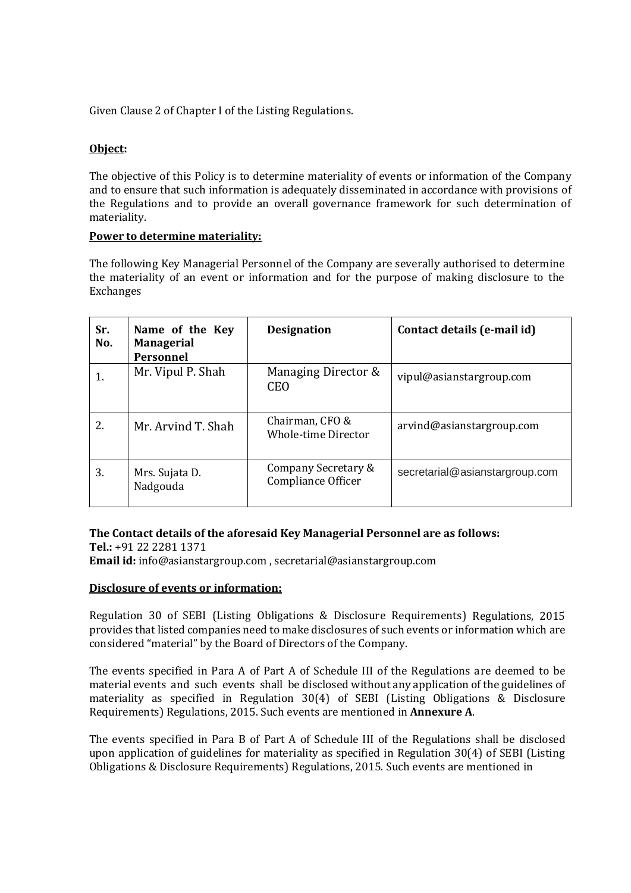Given Clause 2 of Chapter I of the Listing Regulations.

# **Object:**

The objective of this Policy is to determine materiality of events or information of the Company and to ensure that such information is adequately disseminated in accordance with provisions of the Regulations and to provide an overall governance framework for such determination of materiality.

## **Power to determine materiality:**

The following Key Managerial Personnel of the Company are severally authorised to determine the materiality of an event or information and for the purpose of making disclosure to the Exchanges

| Sr.<br>No. | Name of the Key<br><b>Managerial</b><br><b>Personnel</b> | <b>Designation</b>                            | Contact details (e-mail id)    |
|------------|----------------------------------------------------------|-----------------------------------------------|--------------------------------|
|            | Mr. Vipul P. Shah                                        | Managing Director &<br><b>CEO</b>             | vipul@asianstargroup.com       |
| 2.         | Mr. Arvind T. Shah                                       | Chairman, CFO &<br><b>Whole-time Director</b> | arvind@asianstargroup.com      |
| 3.         | Mrs. Sujata D.<br>Nadgouda                               | Company Secretary &<br>Compliance Officer     | secretarial@asianstargroup.com |

## **The Cont[act details of the aforesaid](mailto:info@asianstargroup.com) Key Managerial Personnel are as follows:**

**Tel.:** +91 [22 2281 1371](mailto:info@asianstargroup.com) **Email id:** [info@asianstargroup.com](mailto:info@asianstargroup.com) , secretarial@asianstargroup.com

#### **Disclosure of events or [information:](mailto:info@asianstargroup.com)**

Regulation 30 of SEBI (Listing Obligations & Disclosure Requirements) Regulations, 2015 provides that listed companies need to make disclosures of such events or information which are considered "material" by the Board of Directors of the Company.

The events specified in Para A of Part A of Schedule III of the Regulations are deemed to be material events and such events shall be disclosed without any application of the guidelines of materiality as specified in Regulation 30(4) of SEBI (Listing Obligations & Disclosure Requirements) Regulations, 2015. Such events are mentioned in **Annexure A**.

The events specified in Para B of Part A of Schedule III of the Regulations shall be disclosed upon application of guidelines for materiality as specified in Regulation 30(4) of SEBI (Listing Obligations & Disclosure Requirements) Regulations, 2015. Such events are mentioned in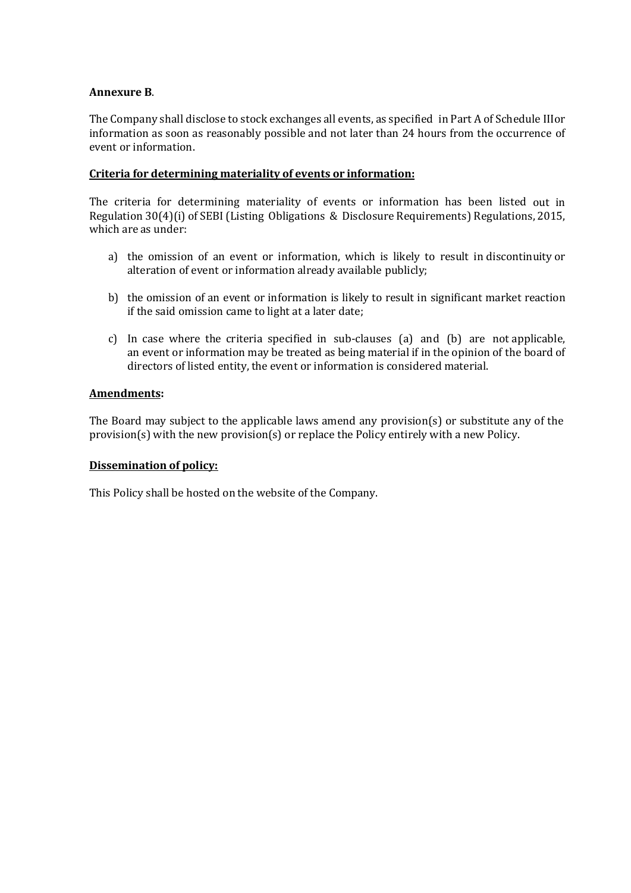## **Annexure B**.

The Company shall disclose to stock exchanges all events, as specified in Part A of Schedule IIIor information as soon as reasonably possible and not later than 24 hours from the occurrence of event or information.

## **Criteria for determining materiality of events or information:**

The criteria for determining materiality of events or information has been listed out in Regulation 30(4)(i) of SEBI (Listing Obligations & Disclosure Requirements) Regulations, 2015, which are as under:

- a) the omission of an event or information, which is likely to result in discontinuity or alteration of event or information already available publicly;
- b) the omission of an event or information is likely to result in significant market reaction if the said omission came to light at a later date;
- c) In case where the criteria specified in sub‐clauses (a) and (b) are not applicable, an event or information may be treated as being material if in the opinion of the board of directors of listed entity, the event or information is considered material.

## **Amendments:**

The Board may subject to the applicable laws amend any provision(s) or substitute any of the provision(s) with the new provision(s) or replace the Policy entirely with a new Policy.

#### **Dissemination of policy:**

This Policy shall be hosted on the website of the Company.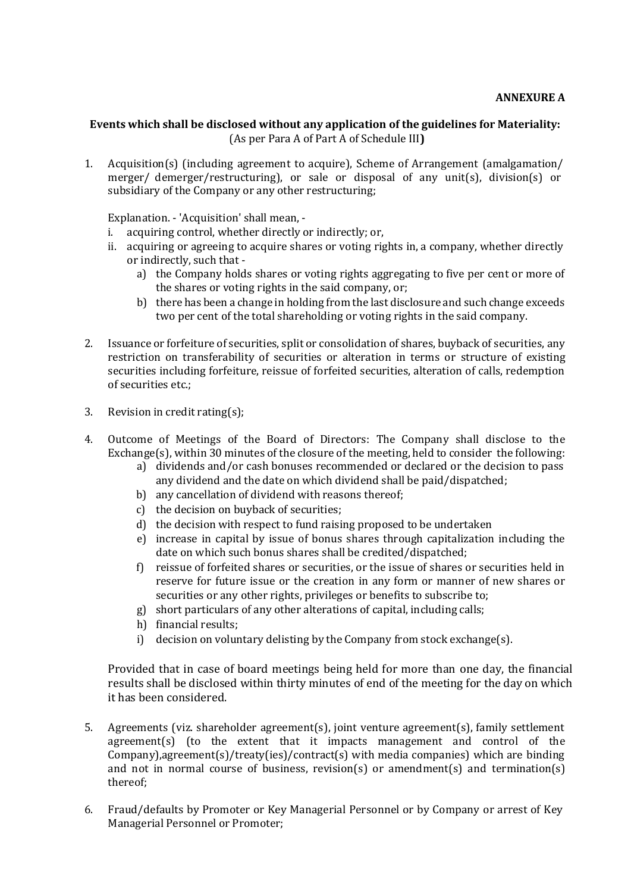## **Events which shall be disclosed without any application of the guidelines for Materiality:** (As per Para A of Part A of Schedule III**)**

1. Acquisition(s) (including agreement to acquire), Scheme of Arrangement (amalgamation/ merger/ demerger/restructuring), or sale or disposal of any unit(s), division(s) or subsidiary of the Company or any other restructuring;

Explanation. ‐ 'Acquisition' shall mean, ‐

- i. acquiring control, whether directly or indirectly; or,
- ii. acquiring or agreeing to acquire shares or voting rights in, a company, whether directly or indirectly, such that ‐
	- a) the Company holds shares or voting rights aggregating to five per cent or more of the shares or voting rights in the said company, or;
	- b) there has been a change in holding from the last disclosure and such change exceeds two per cent of the total shareholding or voting rights in the said company.
- 2. Issuance or forfeiture of securities, split or consolidation of shares, buyback of securities, any restriction on transferability of securities or alteration in terms or structure of existing securities including forfeiture, reissue of forfeited securities, alteration of calls, redemption of securities etc.;
- 3. Revision in credit rating(s);
- 4. Outcome of Meetings of the Board of Directors: The Company shall disclose to the Exchange(s), within 30 minutes of the closure of the meeting, held to consider the following:
	- a) dividends and/or cash bonuses recommended or declared or the decision to pass any dividend and the date on which dividend shall be paid/dispatched;
	- b) any cancellation of dividend with reasons thereof;
	- c) the decision on buyback of securities;
	- d) the decision with respect to fund raising proposed to be undertaken
	- e) increase in capital by issue of bonus shares through capitalization including the date on which such bonus shares shall be credited/dispatched;
	- f) reissue of forfeited shares or securities, or the issue of shares or securities held in reserve for future issue or the creation in any form or manner of new shares or securities or any other rights, privileges or benefits to subscribe to;
	- g) short particulars of any other alterations of capital, including calls;
	- h) financial results;
	- i) decision on voluntary delisting by the Company from stock exchange(s).

Provided that in case of board meetings being held for more than one day, the financial results shall be disclosed within thirty minutes of end of the meeting for the day on which it has been considered.

- 5. Agreements (viz. shareholder agreement(s), joint venture agreement(s), family settlement agreement(s) (to the extent that it impacts management and control of the Company),agreement(s)/treaty(ies)/contract(s) with media companies) which are binding and not in normal course of business, revision(s) or amendment(s) and termination(s) thereof;
- 6. Fraud/defaults by Promoter or Key Managerial Personnel or by Company or arrest of Key Managerial Personnel or Promoter;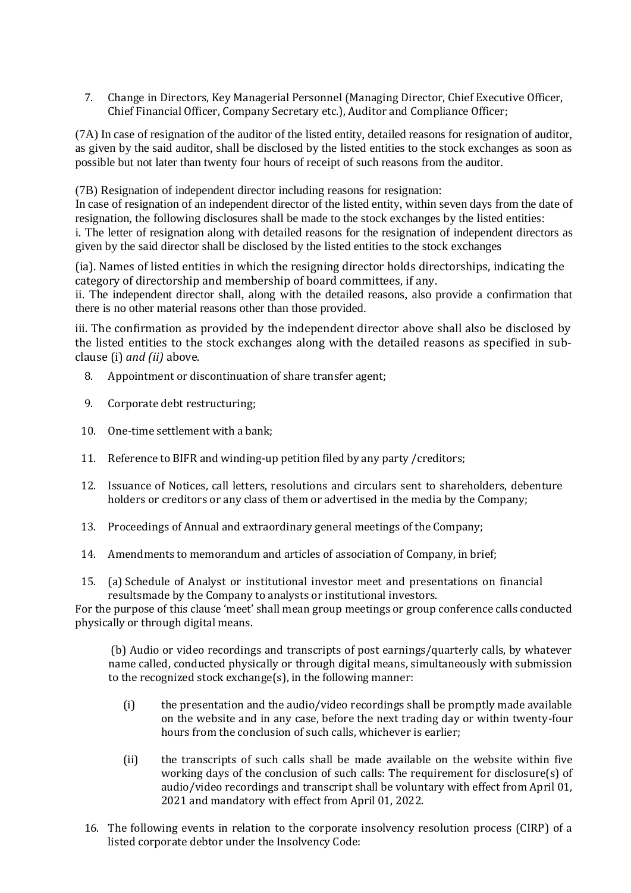7. Change in Directors, Key Managerial Personnel (Managing Director, Chief Executive Officer, Chief Financial Officer, Company Secretary etc.), Auditor and Compliance Officer;

(7A) In case of resignation of the auditor of the listed entity, detailed reasons for resignation of auditor, as given by the said auditor, shall be disclosed by the listed entities to the stock exchanges as soon as possible but not later than twenty four hours of receipt of such reasons from the auditor.

(7B) Resignation of independent director including reasons for resignation:

In case of resignation of an independent director of the listed entity, within seven days from the date of resignation, the following disclosures shall be made to the stock exchanges by the listed entities: i. The letter of resignation along with detailed reasons for the resignation of independent directors as given by the said director shall be disclosed by the listed entities to the stock exchanges

(ia). Names of listed entities in which the resigning director holds directorships, indicating the category of directorship and membership of board committees, if any.

ii. The independent director shall, along with the detailed reasons, also provide a confirmation that there is no other material reasons other than those provided.

iii. The confirmation as provided by the independent director above shall also be disclosed by the listed entities to the stock exchanges along with the detailed reasons as specified in subclause (i) *and (ii)* above.

- 8. Appointment or discontinuation of share transfer agent;
- 9. Corporate debt restructuring;
- 10. One-time settlement with a bank;
- 11. Reference to BIFR and winding-up petition filed by any party / creditors;
- 12. Issuance of Notices, call letters, resolutions and circulars sent to shareholders, debenture holders or creditors or any class of them or advertised in the media by the Company;
- 13. Proceedings of Annual and extraordinary general meetings of the Company;
- 14. Amendments to memorandum and articles of association of Company, in brief;
- 15. (a) Schedule of Analyst or institutional investor meet and presentations on financial resultsmade by the Company to analysts or institutional investors.

For the purpose of this clause 'meet' shall mean group meetings or group conference calls conducted physically or through digital means.

(b) Audio or video recordings and transcripts of post earnings/quarterly calls, by whatever name called, conducted physically or through digital means, simultaneously with submission to the recognized stock exchange(s), in the following manner:

- (i) the presentation and the audio/video recordings shall be promptly made available on the website and in any case, before the next trading day or within twenty-four hours from the conclusion of such calls, whichever is earlier;
- (ii) the transcripts of such calls shall be made available on the website within five working days of the conclusion of such calls: The requirement for disclosure(s) of audio/video recordings and transcript shall be voluntary with effect from April 01, 2021 and mandatory with effect from April 01, 2022.
- 16. The following events in relation to the corporate insolvency resolution process (CIRP) of a listed corporate debtor under the Insolvency Code: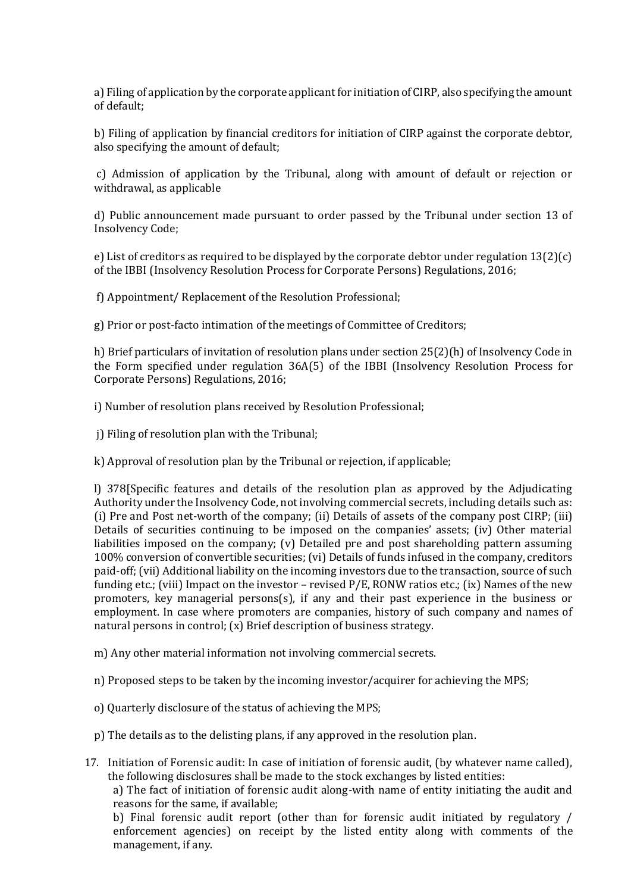a) Filing of application by the corporate applicant for initiation of CIRP, also specifying the amount of default;

b) Filing of application by financial creditors for initiation of CIRP against the corporate debtor, also specifying the amount of default;

c) Admission of application by the Tribunal, along with amount of default or rejection or withdrawal, as applicable

d) Public announcement made pursuant to order passed by the Tribunal under section 13 of Insolvency Code;

e) List of creditors as required to be displayed by the corporate debtor under regulation  $13(2)(c)$ of the IBBI (Insolvency Resolution Process for Corporate Persons) Regulations, 2016;

f) Appointment/ Replacement of the Resolution Professional;

g) Prior or post-facto intimation of the meetings of Committee of Creditors;

h) Brief particulars of invitation of resolution plans under section 25(2)(h) of Insolvency Code in the Form specified under regulation 36A(5) of the IBBI (Insolvency Resolution Process for Corporate Persons) Regulations, 2016;

i) Number of resolution plans received by Resolution Professional;

j) Filing of resolution plan with the Tribunal;

k) Approval of resolution plan by the Tribunal or rejection, if applicable;

l) 378[Specific features and details of the resolution plan as approved by the Adjudicating Authority under the Insolvency Code, not involving commercial secrets, including details such as: (i) Pre and Post net-worth of the company; (ii) Details of assets of the company post CIRP; (iii) Details of securities continuing to be imposed on the companies' assets; (iv) Other material liabilities imposed on the company; (v) Detailed pre and post shareholding pattern assuming 100% conversion of convertible securities; (vi) Details of funds infused in the company, creditors paid-off; (vii) Additional liability on the incoming investors due to the transaction, source of such funding etc.; (viii) Impact on the investor – revised P/E, RONW ratios etc.; (ix) Names of the new promoters, key managerial persons(s), if any and their past experience in the business or employment. In case where promoters are companies, history of such company and names of natural persons in control; (x) Brief description of business strategy.

m) Any other material information not involving commercial secrets.

n) Proposed steps to be taken by the incoming investor/acquirer for achieving the MPS;

- o) Quarterly disclosure of the status of achieving the MPS;
- p) The details as to the delisting plans, if any approved in the resolution plan.

17. Initiation of Forensic audit: In case of initiation of forensic audit, (by whatever name called), the following disclosures shall be made to the stock exchanges by listed entities:

a) The fact of initiation of forensic audit along-with name of entity initiating the audit and reasons for the same, if available;

b) Final forensic audit report (other than for forensic audit initiated by regulatory / enforcement agencies) on receipt by the listed entity along with comments of the management, if any.